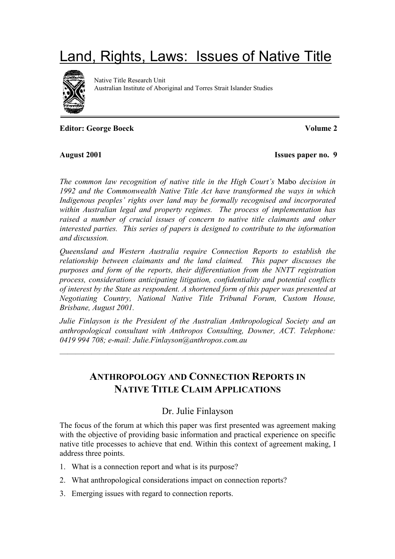# Land, Rights, Laws: Issues of Native Title



Native Title Research Unit Australian Institute of Aboriginal and Torres Strait Islander Studies

**Editor: George Boeck Volume 2** 

August 2001 **Issues paper no.** 9

*The common law recognition of native title in the High Court's* Mabo *decision in 1992 and the Commonwealth Native Title Act have transformed the ways in which Indigenous peoples' rights over land may be formally recognised and incorporated within Australian legal and property regimes. The process of implementation has raised a number of crucial issues of concern to native title claimants and other interested parties. This series of papers is designed to contribute to the information and discussion.*

*Queensland and Western Australia require Connection Reports to establish the relationship between claimants and the land claimed. This paper discusses the purposes and form of the reports, their differentiation from the NNTT registration process, considerations anticipating litigation, confidentiality and potential conflicts of interest by the State as respondent. A shortened form of this paper was presented at Negotiating Country, National Native Title Tribunal Forum, Custom House, Brisbane, August 2001.*

*Julie Finlayson is the President of the Australian Anthropological Society and an anthropological consultant with Anthropos Consulting, Downer, ACT. Telephone: 0419 994 708; e-mail: Julie.Finlayson@anthropos.com.au*

 $-\frac{1}{2}$  , and the contract of the contract of  $\frac{1}{2}$  , and  $\frac{1}{2}$  , and  $\frac{1}{2}$  , and  $\frac{1}{2}$  , and  $\frac{1}{2}$ 

# **ANTHROPOLOGY AND CONNECTION REPORTS IN NATIVE TITLE CLAIM APPLICATIONS**

# Dr. Julie Finlayson

The focus of the forum at which this paper was first presented was agreement making with the objective of providing basic information and practical experience on specific native title processes to achieve that end. Within this context of agreement making, I address three points.

- 1. What is a connection report and what is its purpose?
- 2. What anthropological considerations impact on connection reports?
- 3. Emerging issues with regard to connection reports.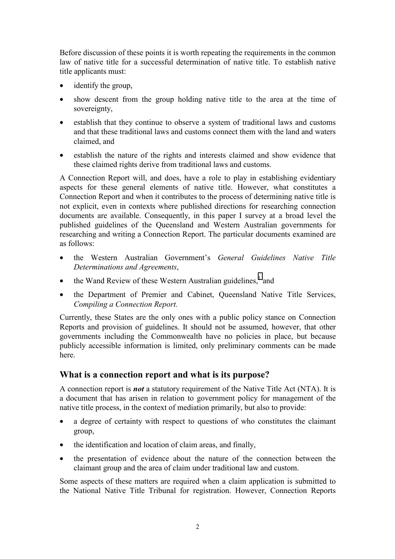Before discussion of these points it is worth repeating the requirements in the common law of native title for a successful determination of native title. To establish native title applicants must:

- identify the group,
- show descent from the group holding native title to the area at the time of sovereignty,
- establish that they continue to observe a system of traditional laws and customs and that these traditional laws and customs connect them with the land and waters claimed, and
- establish the nature of the rights and interests claimed and show evidence that these claimed rights derive from traditional laws and customs.

A Connection Report will, and does, have a role to play in establishing evidentiary aspects for these general elements of native title. However, what constitutes a Connection Report and when it contributes to the process of determining native title is not explicit, even in contexts where published directions for researching connection documents are available. Consequently, in this paper I survey at a broad level the published guidelines of the Queensland and Western Australian governments for researching and writing a Connection Report. The particular documents examined are as follows:

- the Western Australian Government's *General Guidelines Native Title Determinations and Agreements*,
- the Wand Review of these Western Australian guidelines, $<sup>1</sup>$  $<sup>1</sup>$  $<sup>1</sup>$  and</sup>
- the Department of Premier and Cabinet, Queensland Native Title Services, *Compiling a Connection Report.*

Currently, these States are the only ones with a public policy stance on Connection Reports and provision of guidelines. It should not be assumed, however, that other governments including the Commonwealth have no policies in place, but because publicly accessible information is limited, only preliminary comments can be made here.

#### **What is a connection report and what is its purpose?**

A connection report is *not* a statutory requirement of the Native Title Act (NTA). It is a document that has arisen in relation to government policy for management of the native title process, in the context of mediation primarily, but also to provide:

- a degree of certainty with respect to questions of who constitutes the claimant group,
- the identification and location of claim areas, and finally,
- the presentation of evidence about the nature of the connection between the claimant group and the area of claim under traditional law and custom.

Some aspects of these matters are required when a claim application is submitted to the National Native Title Tribunal for registration. However, Connection Reports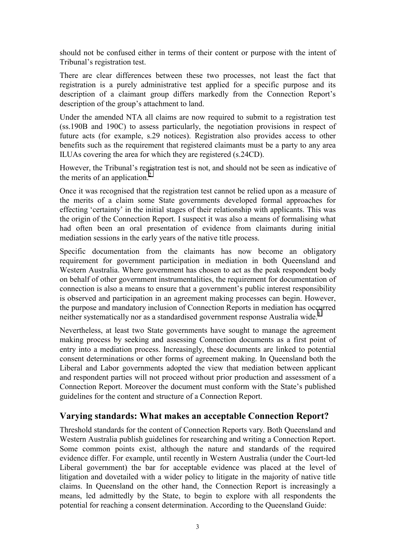should not be confused either in terms of their content or purpose with the intent of Tribunal's registration test.

There are clear differences between these two processes, not least the fact that registration is a purely administrative test applied for a specific purpose and its description of a claimant group differs markedly from the Connection Report's description of the group's attachment to land.

Under the amended NTA all claims are now required to submit to a registration test (ss.190B and 190C) to assess particularly, the negotiation provisions in respect of future acts (for example, s.29 notices). Registration also provides access to other benefits such as the requirement that registered claimants must be a party to any area ILUAs covering the area for which they are registered (s.24CD).

However, the Tribunal's registration test is not, and should not be seen as indicative of the merits of an application.<sup>[2](#page-10-0)</sup>

Once it was recognised that the registration test cannot be relied upon as a measure of the merits of a claim some State governments developed formal approaches for effecting 'certainty' in the initial stages of their relationship with applicants. This was the origin of the Connection Report. I suspect it was also a means of formalising what had often been an oral presentation of evidence from claimants during initial mediation sessions in the early years of the native title process.

Specific documentation from the claimants has now become an obligatory requirement for government participation in mediation in both Queensland and Western Australia. Where government has chosen to act as the peak respondent body on behalf of other government instrumentalities, the requirement for documentation of connection is also a means to ensure that a government's public interest responsibility is observed and participation in an agreement making processes can begin. However, the purpose and mandatory inclusion of Connection Reports in mediation has occurred neither systematically nor as a standardised government response Australia wide.<sup>[3](#page-10-0)</sup>

Nevertheless, at least two State governments have sought to manage the agreement making process by seeking and assessing Connection documents as a first point of entry into a mediation process. Increasingly, these documents are linked to potential consent determinations or other forms of agreement making. In Queensland both the Liberal and Labor governments adopted the view that mediation between applicant and respondent parties will not proceed without prior production and assessment of a Connection Report. Moreover the document must conform with the State's published guidelines for the content and structure of a Connection Report.

## **Varying standards: What makes an acceptable Connection Report?**

Threshold standards for the content of Connection Reports vary. Both Queensland and Western Australia publish guidelines for researching and writing a Connection Report. Some common points exist, although the nature and standards of the required evidence differ. For example, until recently in Western Australia (under the Court-led Liberal government) the bar for acceptable evidence was placed at the level of litigation and dovetailed with a wider policy to litigate in the majority of native title claims. In Queensland on the other hand, the Connection Report is increasingly a means, led admittedly by the State, to begin to explore with all respondents the potential for reaching a consent determination. According to the Queensland Guide: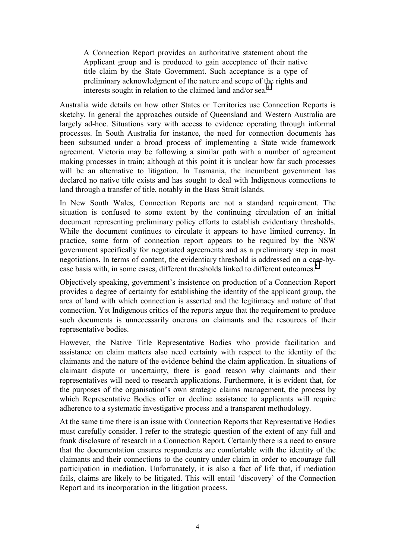A Connection Report provides an authoritative statement about the Applicant group and is produced to gain acceptance of their native title claim by the State Government. Such acceptance is a type of preliminary acknowledgment of the nature and scope of the rights and interests sought in relation to the claimed land and/or sea.<sup>4</sup>

Australia wide details on how other States or Territories use Connection Reports is sketchy. In general the approaches outside of Queensland and Western Australia are largely ad-hoc. Situations vary with access to evidence operating through informal processes. In South Australia for instance, the need for connection documents has been subsumed under a broad process of implementing a State wide framework agreement. Victoria may be following a similar path with a number of agreement making processes in train; although at this point it is unclear how far such processes will be an alternative to litigation. In Tasmania, the incumbent government has declared no native title exists and has sought to deal with Indigenous connections to land through a transfer of title, notably in the Bass Strait Islands.

In New South Wales, Connection Reports are not a standard requirement. The situation is confused to some extent by the continuing circulation of an initial document representing preliminary policy efforts to establish evidentiary thresholds. While the document continues to circulate it appears to have limited currency. In practice, some form of connection report appears to be required by the NSW government specifically for negotiated agreements and as a preliminary step in most negotiations. In terms of content, the evidentiary threshold is addressed on a case-by-case basis with, in some cases, different thresholds linked to different outcomes.<sup>[5](#page-10-0)</sup>

Objectively speaking, government's insistence on production of a Connection Report provides a degree of certainty for establishing the identity of the applicant group, the area of land with which connection is asserted and the legitimacy and nature of that connection. Yet Indigenous critics of the reports argue that the requirement to produce such documents is unnecessarily onerous on claimants and the resources of their representative bodies.

However, the Native Title Representative Bodies who provide facilitation and assistance on claim matters also need certainty with respect to the identity of the claimants and the nature of the evidence behind the claim application. In situations of claimant dispute or uncertainty, there is good reason why claimants and their representatives will need to research applications. Furthermore, it is evident that, for the purposes of the organisation's own strategic claims management, the process by which Representative Bodies offer or decline assistance to applicants will require adherence to a systematic investigative process and a transparent methodology.

At the same time there is an issue with Connection Reports that Representative Bodies must carefully consider. I refer to the strategic question of the extent of any full and frank disclosure of research in a Connection Report. Certainly there is a need to ensure that the documentation ensures respondents are comfortable with the identity of the claimants and their connections to the country under claim in order to encourage full participation in mediation. Unfortunately, it is also a fact of life that, if mediation fails, claims are likely to be litigated. This will entail 'discovery' of the Connection Report and its incorporation in the litigation process.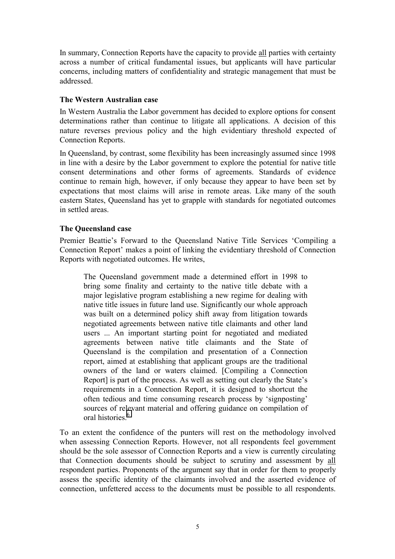In summary, Connection Reports have the capacity to provide all parties with certainty across a number of critical fundamental issues, but applicants will have particular concerns, including matters of confidentiality and strategic management that must be addressed.

#### **The Western Australian case**

In Western Australia the Labor government has decided to explore options for consent determinations rather than continue to litigate all applications. A decision of this nature reverses previous policy and the high evidentiary threshold expected of Connection Reports.

In Queensland, by contrast, some flexibility has been increasingly assumed since 1998 in line with a desire by the Labor government to explore the potential for native title consent determinations and other forms of agreements. Standards of evidence continue to remain high, however, if only because they appear to have been set by expectations that most claims will arise in remote areas. Like many of the south eastern States, Queensland has yet to grapple with standards for negotiated outcomes in settled areas.

#### **The Queensland case**

Premier Beattie's Forward to the Queensland Native Title Services 'Compiling a Connection Report' makes a point of linking the evidentiary threshold of Connection Reports with negotiated outcomes. He writes,

The Queensland government made a determined effort in 1998 to bring some finality and certainty to the native title debate with a major legislative program establishing a new regime for dealing with native title issues in future land use. Significantly our whole approach was built on a determined policy shift away from litigation towards negotiated agreements between native title claimants and other land users ... An important starting point for negotiated and mediated agreements between native title claimants and the State of Queensland is the compilation and presentation of a Connection report, aimed at establishing that applicant groups are the traditional owners of the land or waters claimed. [Compiling a Connection Report] is part of the process. As well as setting out clearly the State's requirements in a Connection Report, it is designed to shortcut the often tedious and time consuming research process by 'signposting' sources of relevant material and offering guidance on compilation of oral histories.<sup>6</sup>

To an extent the confidence of the punters will rest on the methodology involved when assessing Connection Reports. However, not all respondents feel government should be the sole assessor of Connection Reports and a view is currently circulating that Connection documents should be subject to scrutiny and assessment by all respondent parties. Proponents of the argument say that in order for them to properly assess the specific identity of the claimants involved and the asserted evidence of connection, unfettered access to the documents must be possible to all respondents.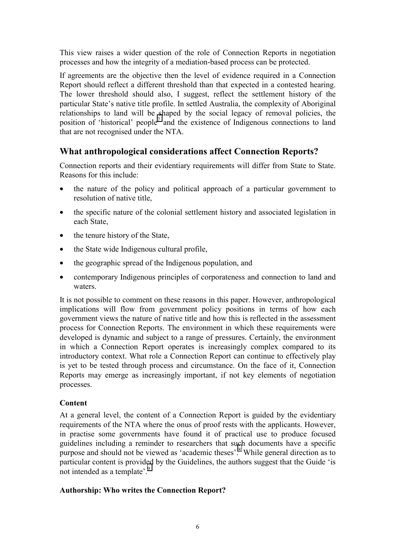This view raises a wider question of the role of Connection Reports in negotiation processes and how the integrity of a mediation-based process can be protected.

If agreements are the objective then the level of evidence required in a Connection Report should reflect a different threshold than that expected in a contested hearing. The lower threshold should also, I suggest, reflect the settlement history of the particular State's native title profile. In settled Australia, the complexity of Aboriginal relationships to land will be shaped by the social legacy of removal policies, the position of 'historical' people<sup>7</sup> and the existence of Indigenous connections to land that are not recognised under the NTA.

# **What anthropological considerations affect Connection Reports?**

Connection reports and their evidentiary requirements will differ from State to State. Reasons for this include:

- the nature of the policy and political approach of a particular government to resolution of native title,
- the specific nature of the colonial settlement history and associated legislation in each State,
- the tenure history of the State,
- the State wide Indigenous cultural profile,
- the geographic spread of the Indigenous population, and
- contemporary Indigenous principles of corporateness and connection to land and waters.

It is not possible to comment on these reasons in this paper. However, anthropological implications will flow from government policy positions in terms of how each government views the nature of native title and how this is reflected in the assessment process for Connection Reports. The environment in which these requirements were developed is dynamic and subject to a range of pressures. Certainly, the environment in which a Connection Report operates is increasingly complex compared to its introductory context. What role a Connection Report can continue to effectively play is yet to be tested through process and circumstance. On the face of it, Connection Reports may emerge as increasingly important, if not key elements of negotiation processes.

#### **Content**

At a general level, the content of a Connection Report is guided by the evidentiary requirements of the NTA where the onus of proof rests with the applicants. However, in practise some governments have found it of practical use to produce focused guidelines including a reminder to researchers that such documents have a specific purpose and should not be viewed as 'academic theses'.<sup>8</sup> While general direction as to particular content is provided by the Guidelines, the authors suggest that the Guide 'is not intended as a template'.<sup>9</sup>

#### **Authorship: Who writes the Connection Report?**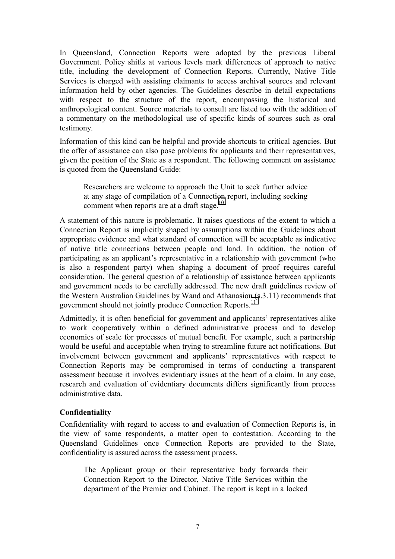In Queensland, Connection Reports were adopted by the previous Liberal Government. Policy shifts at various levels mark differences of approach to native title, including the development of Connection Reports. Currently, Native Title Services is charged with assisting claimants to access archival sources and relevant information held by other agencies. The Guidelines describe in detail expectations with respect to the structure of the report, encompassing the historical and anthropological content. Source materials to consult are listed too with the addition of a commentary on the methodological use of specific kinds of sources such as oral testimony.

Information of this kind can be helpful and provide shortcuts to critical agencies. But the offer of assistance can also pose problems for applicants and their representatives, given the position of the State as a respondent. The following comment on assistance is quoted from the Queensland Guide:

Researchers are welcome to approach the Unit to seek further advice at any stage of compilation of a Connection report, including seeking comment when reports are at a draft stage.<sup>10</sup>

A statement of this nature is problematic. It raises questions of the extent to which a Connection Report is implicitly shaped by assumptions within the Guidelines about appropriate evidence and what standard of connection will be acceptable as indicative of native title connections between people and land. In addition, the notion of participating as an applicant's representative in a relationship with government (who is also a respondent party) when shaping a document of proof requires careful consideration. The general question of a relationship of assistance between applicants and government needs to be carefully addressed. The new draft guidelines review of the Western Australian Guidelines by Wand and Athanasiou (s.3.11) recommends that government should not jointly produce Connection Reports.<sup>[11](#page-10-0)</sup>

Admittedly, it is often beneficial for government and applicants' representatives alike to work cooperatively within a defined administrative process and to develop economies of scale for processes of mutual benefit. For example, such a partnership would be useful and acceptable when trying to streamline future act notifications. But involvement between government and applicants' representatives with respect to Connection Reports may be compromised in terms of conducting a transparent assessment because it involves evidentiary issues at the heart of a claim. In any case, research and evaluation of evidentiary documents differs significantly from process administrative data.

#### **Confidentiality**

Confidentiality with regard to access to and evaluation of Connection Reports is, in the view of some respondents, a matter open to contestation. According to the Queensland Guidelines once Connection Reports are provided to the State, confidentiality is assured across the assessment process.

The Applicant group or their representative body forwards their Connection Report to the Director, Native Title Services within the department of the Premier and Cabinet. The report is kept in a locked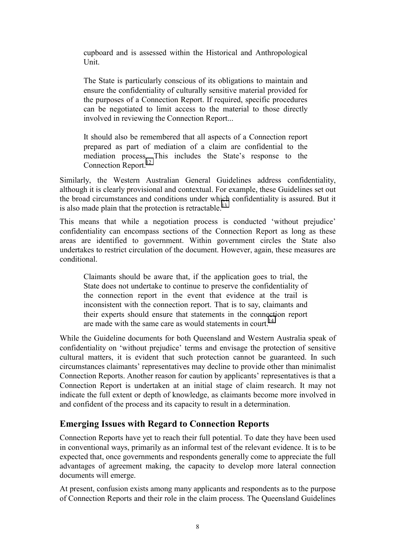cupboard and is assessed within the Historical and Anthropological Unit.

The State is particularly conscious of its obligations to maintain and ensure the confidentiality of culturally sensitive material provided for the purposes of a Connection Report. If required, specific procedures can be negotiated to limit access to the material to those directly involved in reviewing the Connection Report...

It should also be remembered that all aspects of a Connection report prepared as part of mediation of a claim are confidential to the mediation process. This includes the State's response to the Connection Report.<sup>[12](#page-10-0)</sup>

Similarly, the Western Australian General Guidelines address confidentiality, although it is clearly provisional and contextual. For example, these Guidelines set out the broad circumstances and conditions under which confidentiality is assured. But it is also made plain that the protection is retractable.<sup>[13](#page-10-0)</sup>

This means that while a negotiation process is conducted 'without prejudice' confidentiality can encompass sections of the Connection Report as long as these areas are identified to government. Within government circles the State also undertakes to restrict circulation of the document. However, again, these measures are conditional.

Claimants should be aware that, if the application goes to trial, the State does not undertake to continue to preserve the confidentiality of the connection report in the event that evidence at the trail is inconsistent with the connection report. That is to say, claimants and their experts should ensure that statements in the connection report are made with the same care as would statements in court.<sup>14</sup>

While the Guideline documents for both Queensland and Western Australia speak of confidentiality on 'without prejudice' terms and envisage the protection of sensitive cultural matters, it is evident that such protection cannot be guaranteed. In such circumstances claimants' representatives may decline to provide other than minimalist Connection Reports. Another reason for caution by applicants' representatives is that a Connection Report is undertaken at an initial stage of claim research. It may not indicate the full extent or depth of knowledge, as claimants become more involved in and confident of the process and its capacity to result in a determination.

## **Emerging Issues with Regard to Connection Reports**

Connection Reports have yet to reach their full potential. To date they have been used in conventional ways, primarily as an informal test of the relevant evidence. It is to be expected that, once governments and respondents generally come to appreciate the full advantages of agreement making, the capacity to develop more lateral connection documents will emerge.

At present, confusion exists among many applicants and respondents as to the purpose of Connection Reports and their role in the claim process. The Queensland Guidelines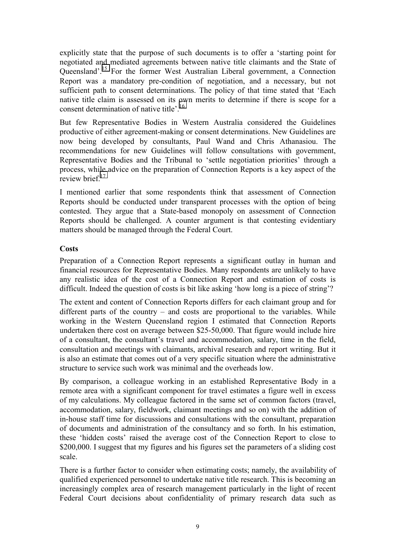explicitly state that the purpose of such documents is to offer a 'starting point for negotiated and mediated agreements between native title claimants and the State of Queensland'.[15](#page-10-0) For the former West Australian Liberal government, a Connection Report was a mandatory pre-condition of negotiation, and a necessary, but not sufficient path to consent determinations. The policy of that time stated that 'Each native title claim is assessed on its own merits to determine if there is scope for a consent determination of native title<sup>, 16</sup>

But few Representative Bodies in Western Australia considered the Guidelines productive of either agreement-making or consent determinations. New Guidelines are now being developed by consultants, Paul Wand and Chris Athanasiou. The recommendations for new Guidelines will follow consultations with government, Representative Bodies and the Tribunal to 'settle negotiation priorities' through a process, while advice on the preparation of Connection Reports is a key aspect of the review brief<sup>[17](#page-10-0)</sup>

I mentioned earlier that some respondents think that assessment of Connection Reports should be conducted under transparent processes with the option of being contested. They argue that a State-based monopoly on assessment of Connection Reports should be challenged. A counter argument is that contesting evidentiary matters should be managed through the Federal Court.

#### **Costs**

Preparation of a Connection Report represents a significant outlay in human and financial resources for Representative Bodies. Many respondents are unlikely to have any realistic idea of the cost of a Connection Report and estimation of costs is difficult. Indeed the question of costs is bit like asking 'how long is a piece of string'?

The extent and content of Connection Reports differs for each claimant group and for different parts of the country – and costs are proportional to the variables. While working in the Western Queensland region I estimated that Connection Reports undertaken there cost on average between \$25-50,000. That figure would include hire of a consultant, the consultant's travel and accommodation, salary, time in the field, consultation and meetings with claimants, archival research and report writing. But it is also an estimate that comes out of a very specific situation where the administrative structure to service such work was minimal and the overheads low.

By comparison, a colleague working in an established Representative Body in a remote area with a significant component for travel estimates a figure well in excess of my calculations. My colleague factored in the same set of common factors (travel, accommodation, salary, fieldwork, claimant meetings and so on) with the addition of in-house staff time for discussions and consultations with the consultant, preparation of documents and administration of the consultancy and so forth. In his estimation, these 'hidden costs' raised the average cost of the Connection Report to close to \$200,000. I suggest that my figures and his figures set the parameters of a sliding cost scale.

There is a further factor to consider when estimating costs; namely, the availability of qualified experienced personnel to undertake native title research. This is becoming an increasingly complex area of research management particularly in the light of recent Federal Court decisions about confidentiality of primary research data such as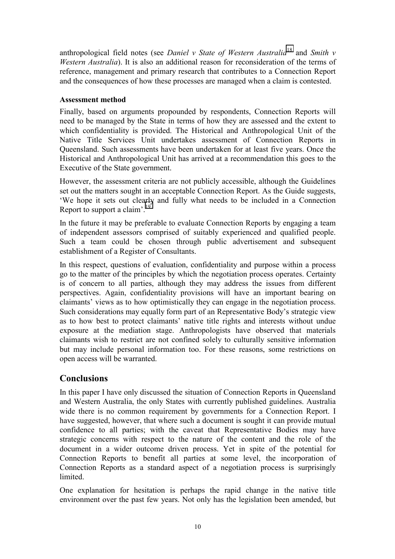anthropological field notes (see *Daniel v State of Western Australia*[18](#page-10-0) and *Smith v Western Australia*). It is also an additional reason for reconsideration of the terms of reference, management and primary research that contributes to a Connection Report and the consequences of how these processes are managed when a claim is contested.

#### **Assessment method**

Finally, based on arguments propounded by respondents, Connection Reports will need to be managed by the State in terms of how they are assessed and the extent to which confidentiality is provided. The Historical and Anthropological Unit of the Native Title Services Unit undertakes assessment of Connection Reports in Queensland. Such assessments have been undertaken for at least five years. Once the Historical and Anthropological Unit has arrived at a recommendation this goes to the Executive of the State government.

However, the assessment criteria are not publicly accessible, although the Guidelines set out the matters sought in an acceptable Connection Report. As the Guide suggests, 'We hope it sets out clearly and fully what needs to be included in a Connection Report to support a claim'.<sup>[19](#page-10-0)</sup>

In the future it may be preferable to evaluate Connection Reports by engaging a team of independent assessors comprised of suitably experienced and qualified people. Such a team could be chosen through public advertisement and subsequent establishment of a Register of Consultants.

In this respect, questions of evaluation, confidentiality and purpose within a process go to the matter of the principles by which the negotiation process operates. Certainty is of concern to all parties, although they may address the issues from different perspectives. Again, confidentiality provisions will have an important bearing on claimants' views as to how optimistically they can engage in the negotiation process. Such considerations may equally form part of an Representative Body's strategic view as to how best to protect claimants' native title rights and interests without undue exposure at the mediation stage. Anthropologists have observed that materials claimants wish to restrict are not confined solely to culturally sensitive information but may include personal information too. For these reasons, some restrictions on open access will be warranted.

# **Conclusions**

In this paper I have only discussed the situation of Connection Reports in Queensland and Western Australia, the only States with currently published guidelines. Australia wide there is no common requirement by governments for a Connection Report. I have suggested, however, that where such a document is sought it can provide mutual confidence to all parties; with the caveat that Representative Bodies may have strategic concerns with respect to the nature of the content and the role of the document in a wider outcome driven process. Yet in spite of the potential for Connection Reports to benefit all parties at some level, the incorporation of Connection Reports as a standard aspect of a negotiation process is surprisingly **limited** 

One explanation for hesitation is perhaps the rapid change in the native title environment over the past few years. Not only has the legislation been amended, but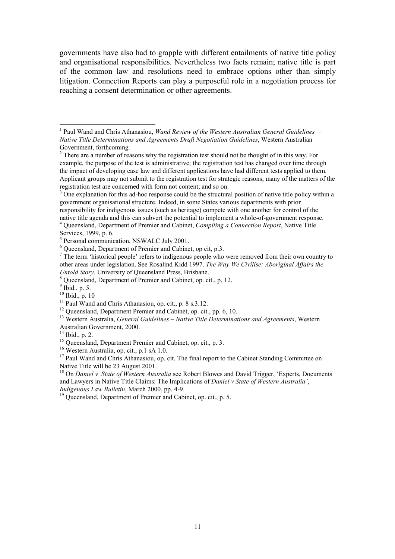<span id="page-10-0"></span>governments have also had to grapple with different entailments of native title policy and organisational responsibilities. Nevertheless two facts remain; native title is part of the common law and resolutions need to embrace options other than simply litigation. Connection Reports can play a purposeful role in a negotiation process for reaching a consent determination or other agreements.

l

<sup>18</sup> On *Daniel v State of Western Australia* see Robert Blowes and David Trigger, 'Experts, Documents and Lawyers in Native Title Claims: The Implications of *Daniel v State of Western Australia'*, *Indigenous Law Bulletin*, March 2000, pp. 4-9.

<sup>19</sup> Queensland, Department of Premier and Cabinet, op. cit., p. 5.

<sup>&</sup>lt;sup>1</sup> Paul Wand and Chris Athanasiou, *Wand Review of the Western Australian General Guidelines – Native Title Determinations and Agreements Draft Negotiation Guidelines*, Western Australian Government, forthcoming.<br><sup>2</sup> There are a number of reasons why the registration test should not be thought of in this way. For

example, the purpose of the test is administrative; the registration test has changed over time through the impact of developing case law and different applications have had different tests applied to them. Applicant groups may not submit to the registration test for strategic reasons; many of the matters of the registration test are concerned with form not content; and so on.

 $3\overline{)}$  One explanation for this ad-hoc response could be the structural position of native title policy within a government organisational structure. Indeed, in some States various departments with prior responsibility for indigenous issues (such as heritage) compete with one another for control of the

native title agenda and this can subvert the potential to implement a whole-of-government response. 4 Queensland, Department of Premier and Cabinet, *Compiling a Connection Report*, Native Title

Services, 1999, p. 6.

<sup>&</sup>lt;sup>5</sup> Personal communication, NSWALC July 2001.

<sup>6</sup> Queensland, Department of Premier and Cabinet, op cit, p.3.

 $<sup>7</sup>$  The term 'historical people' refers to indigenous people who were removed from their own country to</sup> other areas under legislation. See Rosalind Kidd 1997. *The Way We Civilise: Aboriginal Affairs the Untold Story*. University of Queensland Press, Brisbane.

<sup>8</sup> Queensland, Department of Premier and Cabinet, op. cit., p. 12.

 $<sup>9</sup>$  Ibid., p. 5.</sup>

<sup>10</sup> Ibid., p. 10

<sup>&</sup>lt;sup>11</sup> Paul Wand and Chris Athanasiou, op. cit., p. 8 s.3.12.

<sup>&</sup>lt;sup>12</sup> Oueensland, Department Premier and Cabinet, op. cit., pp. 6, 10.

<sup>13</sup> Western Australia, *General Guidelines – Native Title Determinations and Agreements*, Western Australian Government, 2000.

<sup>14</sup> Ibid., p. 2.

<sup>&</sup>lt;sup>15</sup> Queensland, Department Premier and Cabinet, op. cit., p. 3.

<sup>16</sup> Western Australia, op. cit., p.1 sA 1.0.

<sup>&</sup>lt;sup>17</sup> Paul Wand and Chris Athanasiou, op. cit. The final report to the Cabinet Standing Committee on Native Title will be 23 August 2001.